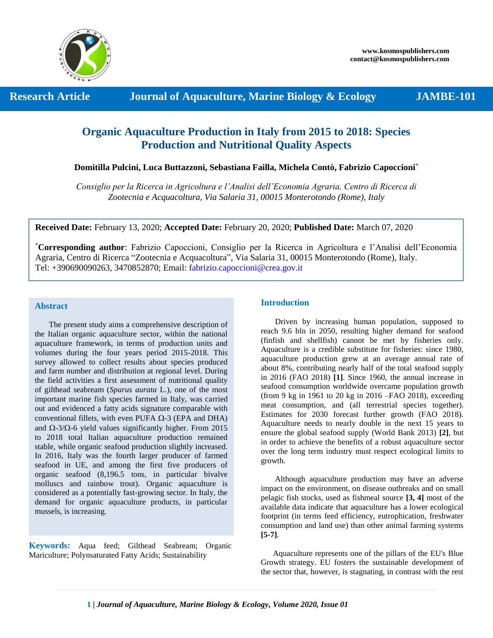

 **Research Article 5 Journal of Aquaculture, Marine Biology & Ecology 5 JAMBE-101** 

# **Organic Aquaculture Production in Italy from 2015 to 2018: Species Production and Nutritional Quality Aspects**

**Domitilla Pulcini, Luca Buttazzoni, Sebastiana Failla, Michela Contò, Fabrizio Capoccioni\***

*Consiglio per la Ricerca in Agricoltura e l'Analisi dell'Economia Agraria, Centro di Ricerca di Zootecnia e Acquacoltura, Via Salaria 31, 00015 Monterotondo (Rome), Italy*

**Received Date:** February 13, 2020; **Accepted Date:** February 20, 2020; **Published Date:** March 07, 2020

**\*Corresponding author**: Fabrizio Capoccioni, Consiglio per la Ricerca in Agricoltura e l'Analisi dell'Economia Agraria, Centro di Ricerca "Zootecnia e Acquacoltura", Via Salaria 31, 00015 Monterotondo (Rome), Italy. Tel: +390690090263, 3470852870; Email: [fabrizio.capoccioni@crea.gov.it](mailto:fabrizio.capoccioni@crea.gov.it)

## **Abstract**

 The present study aims a comprehensive description of the Italian organic aquaculture sector, within the national aquaculture framework, in terms of production units and volumes during the four years period 2015-2018. This survey allowed to collect results about species produced and farm number and distribution at regional level. During the field activities a first assessment of nutritional quality of gilthead seabream (*Sparus aurata* L.), one of the most important marine fish species farmed in Italy, was carried out and evidenced a fatty acids signature comparable with conventional fillets, with even PUFA  $\Omega$ -3 (EPA and DHA) and  $\Omega$ -3/ $\Omega$ -6 yield values significantly higher. From 2015 to 2018 total Italian aquaculture production remained stable, while organic seafood production slightly increased. In 2016, Italy was the fourth larger producer of farmed seafood in UE, and among the first five producers of organic seafood (8,196.5 tons, in particular bivalve molluscs and rainbow trout). Organic aquaculture is considered as a potentially fast-growing sector. In Italy, the demand for organic aquaculture products, in particular mussels, is increasing.

**Keywords:** Aqua feed; Gilthead Seabream; Organic Mariculture; Polynsaturated Fatty Acids; Sustainability

# **Introduction**

 Driven by increasing human population, supposed to reach 9.6 bln in 2050, resulting higher demand for seafood (finfish and shellfish) cannot be met by fisheries only. Aquaculture is a credible substitute for fisheries: since 1980, aquaculture production grew at an average annual rate of about 8%, contributing nearly half of the total seafood supply in 2016 (FAO 2018) **[1]**. Since 1960, the annual increase in seafood consumption worldwide overcame population growth (from 9 kg in 1961 to 20 kg in 2016 –FAO 2018), exceeding meat consumption, and (all terrestrial species together). Estimates for 2030 forecast further growth (FAO 2018). Aquaculture needs to nearly double in the next 15 years to ensure the global seafood supply (World Bank 2013) **[2]**, but in order to achieve the benefits of a robust aquaculture sector over the long term industry must respect ecological limits to growth.

 Although aquaculture production may have an adverse impact on the environment, on disease outbreaks and on small pelagic fish stocks, used as fishmeal source **[3, 4]** most of the available data indicate that aquaculture has a lower ecological footprint (in terms feed efficiency, eutrophication, freshwater consumption and land use) than other animal farming systems **[5-7]**.

 Aquaculture represents one of the pillars of the EU's Blue Growth strategy. EU fosters the sustainable development of the sector that, however, is stagnating, in contrast with the rest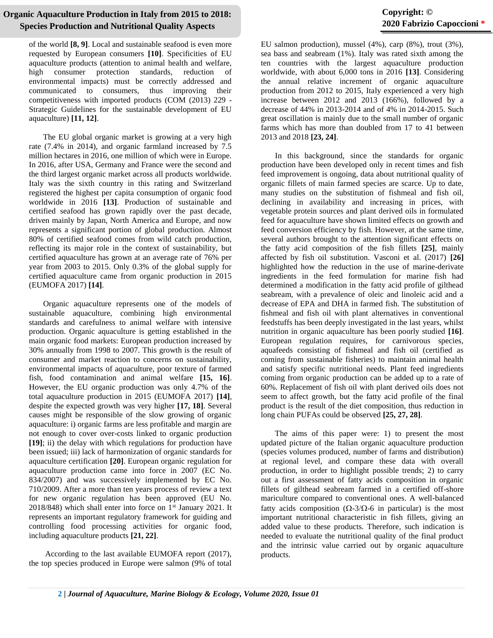of the world **[8, 9]**. Local and sustainable seafood is even more requested by European consumers **[10]**. Specificities of EU aquaculture products (attention to animal health and welfare, high consumer protection standards, reduction of environmental impacts) must be correctly addressed and communicated to consumers, thus improving their competitiveness with imported products (COM (2013) 229 - Strategic Guidelines for the sustainable development of EU aquaculture) **[11, 12]**.

 The EU global organic market is growing at a very high rate (7.4% in 2014), and organic farmland increased by 7.5 million hectares in 2016, one million of which were in Europe. In 2016, after USA, Germany and France were the second and the third largest organic market across all products worldwide. Italy was the sixth country in this rating and Switzerland registered the highest per capita consumption of organic food worldwide in 2016 **[13]**. Production of sustainable and certified seafood has grown rapidly over the past decade, driven mainly by Japan, North America and Europe, and now represents a significant portion of global production. Almost 80% of certified seafood comes from wild catch production, reflecting its major role in the context of sustainability, but certified aquaculture has grown at an average rate of 76% per year from 2003 to 2015. Only 0.3% of the global supply for certified aquaculture came from organic production in 2015 (EUMOFA 2017) **[14]**.

 Organic aquaculture represents one of the models of sustainable aquaculture, combining high environmental standards and carefulness to animal welfare with intensive production. Organic aquaculture is getting established in the main organic food markets: European production increased by 30% annually from 1998 to 2007. This growth is the result of consumer and market reaction to concerns on sustainability, environmental impacts of aquaculture, poor texture of farmed fish, food contamination and animal welfare **[15, 16]**. However, the EU organic production was only 4.7% of the total aquaculture production in 2015 (EUMOFA 2017) **[14]**, despite the expected growth was very higher **[17, 18]**. Several causes might be responsible of the slow growing of organic aquaculture: i) organic farms are less profitable and margin are not enough to cover over-costs linked to organic production **[19]**; ii) the delay with which regulations for production have been issued; iii) lack of harmonization of organic standards for aquaculture certification **[20]**. European organic regulation for aquaculture production came into force in 2007 (EC No. 834/2007) and was successively implemented by EC No. 710/2009. After a more than ten years process of review a text for new organic regulation has been approved (EU No. 2018/848) which shall enter into force on 1<sup>st</sup> January 2021. It represents an important regulatory framework for guiding and controlling food processing activities for organic food, including aquaculture products **[21, 22]**.

 According to the last available EUMOFA report (2017), the top species produced in Europe were salmon (9% of total

# **Copyright: © 2020 Fabrizio Capoccioni \***

EU salmon production), mussel (4%), carp (8%), trout (3%), sea bass and seabream (1%). Italy was rated sixth among the ten countries with the largest aquaculture production worldwide, with about 6,000 tons in 2016 **[13]**. Considering the annual relative increment of organic aquaculture production from 2012 to 2015, Italy experienced a very high increase between 2012 and 2013 (166%), followed by a decrease of 44% in 2013-2014 and of 4% in 2014-2015. Such great oscillation is mainly due to the small number of organic farms which has more than doubled from 17 to 41 between 2013 and 2018 **[23, 24]**.

 In this background, since the standards for organic production have been developed only in recent times and fish feed improvement is ongoing, data about nutritional quality of organic fillets of main farmed species are scarce. Up to date, many studies on the substitution of fishmeal and fish oil, declining in availability and increasing in prices, with vegetable protein sources and plant derived oils in formulated feed for aquaculture have shown limited effects on growth and feed conversion efficiency by fish. However, at the same time, several authors brought to the attention significant effects on the fatty acid composition of the fish fillets **[25]**, mainly affected by fish oil substitution. Vasconi et al. (2017) **[26]** highlighted how the reduction in the use of marine-derivate ingredients in the feed formulation for marine fish had determined a modification in the fatty acid profile of gilthead seabream, with a prevalence of oleic and linoleic acid and a decrease of EPA and DHA in farmed fish. The substitution of fishmeal and fish oil with plant alternatives in conventional feedstuffs has been deeply investigated in the last years, whilst nutrition in organic aquaculture has been poorly studied **[16]**. European regulation requires, for carnivorous species, aquafeeds consisting of fishmeal and fish oil (certified as coming from sustainable fisheries) to maintain animal health and satisfy specific nutritional needs. Plant feed ingredients coming from organic production can be added up to a rate of 60%. Replacement of fish oil with plant derived oils does not seem to affect growth, but the fatty acid profile of the final product is the result of the diet composition, thus reduction in long chain PUFAs could be observed **[25, 27, 28]**.

 The aims of this paper were: 1) to present the most updated picture of the Italian organic aquaculture production (species volumes produced, number of farms and distribution) at regional level, and compare these data with overall production, in order to highlight possible trends; 2) to carry out a first assessment of fatty acids composition in organic fillets of gilthead seabream farmed in a certified off-shore mariculture compared to conventional ones. A well-balanced fatty acids composition ( $\Omega$ -3/ $\Omega$ -6 in particular) is the most important nutritional characteristic in fish fillets, giving an added value to these products. Therefore, such indication is needed to evaluate the nutritional quality of the final product and the intrinsic value carried out by organic aquaculture products.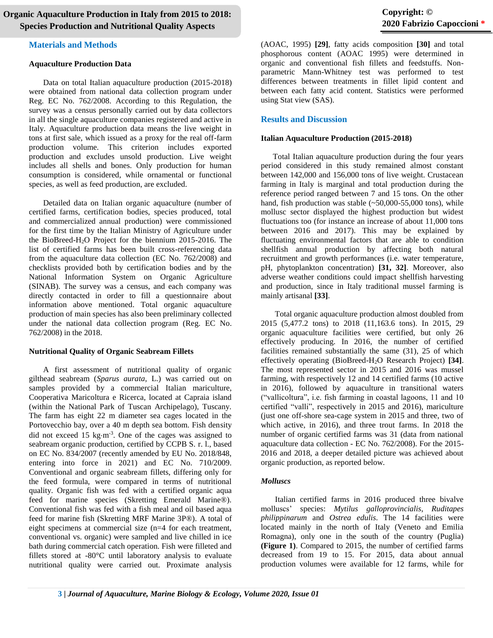#### **Materials and Methods**

#### **Aquaculture Production Data**

 Data on total Italian aquaculture production (2015-2018) were obtained from national data collection program under Reg. EC No. 762/2008. According to this Regulation, the survey was a census personally carried out by data collectors in all the single aquaculture companies registered and active in Italy. Aquaculture production data means the live weight in tons at first sale, which issued as a proxy for the real off-farm production volume. This criterion includes exported production and excludes unsold production. Live weight includes all shells and bones. Only production for human consumption is considered, while ornamental or functional species, as well as feed production, are excluded.

 Detailed data on Italian organic aquaculture (number of certified farms, certification bodies, species produced, total and commercialized annual production) were commissioned for the first time by the Italian Ministry of Agriculture under the BioBreed-H2O Project for the biennium 2015-2016. The list of certified farms has been built cross-referencing data from the aquaculture data collection (EC No. 762/2008) and checklists provided both by certification bodies and by the National Information System on Organic Agriculture (SINAB). The survey was a census, and each company was directly contacted in order to fill a questionnaire about information above mentioned. Total organic aquaculture production of main species has also been preliminary collected under the national data collection program (Reg. EC No. 762/2008) in the 2018.

### **Nutritional Quality of Organic Seabream Fillets**

 A first assessment of nutritional quality of organic gilthead seabream (*Sparus aurata*, L.) was carried out on samples provided by a commercial Italian mariculture, Cooperativa Maricoltura e Ricerca, located at Capraia island (within the National Park of Tuscan Archipelago), Tuscany. The farm has eight 22 m diameter sea cages located in the Portovecchio bay, over a 40 m depth sea bottom. Fish density did not exceed 15  $\text{kg}\cdot\text{m}^{-3}$ . One of the cages was assigned to seabream organic production, certified by CCPB S. r. l., based on EC No. 834/2007 (recently amended by EU No. 2018/848, entering into force in 2021) and EC No. 710/2009. Conventional and organic seabream fillets, differing only for the feed formula, were compared in terms of nutritional quality. Organic fish was fed with a certified organic aqua feed for marine species (Skretting Emerald Marine®). Conventional fish was fed with a fish meal and oil based aqua feed for marine fish (Skretting MRF Marine 3P®). A total of eight specimens at commercial size (n=4 for each treatment, conventional vs. organic) were sampled and live chilled in ice bath during commercial catch operation. Fish were filleted and fillets stored at -80°C until laboratory analysis to evaluate nutritional quality were carried out. Proximate analysis

(AOAC, 1995) **[29]**, fatty acids composition **[30]** and total phosphorous content (AOAC 1995) were determined in organic and conventional fish fillets and feedstuffs. Nonparametric Mann-Whitney test was performed to test differences between treatments in fillet lipid content and between each fatty acid content. Statistics were performed using Stat view (SAS).

### **Results and Discussion**

#### **Italian Aquaculture Production (2015-2018)**

 Total Italian aquaculture production during the four years period considered in this study remained almost constant between 142,000 and 156,000 tons of live weight. Crustacean farming in Italy is marginal and total production during the reference period ranged between 7 and 15 tons. On the other hand, fish production was stable  $(-50,000-55,000)$  tons), while mollusc sector displayed the highest production but widest fluctuations too (for instance an increase of about 11,000 tons between 2016 and 2017). This may be explained by fluctuating environmental factors that are able to condition shellfish annual production by affecting both natural recruitment and growth performances (i.e. water temperature, pH, phytoplankton concentration) **[31, 32]**. Moreover, also adverse weather conditions could impact shellfish harvesting and production, since in Italy traditional mussel farming is mainly artisanal **[33]**.

 Total organic aquaculture production almost doubled from 2015 (5,477.2 tons) to 2018 (11,163.6 tons). In 2015, 29 organic aquaculture facilities were certified, but only 26 effectively producing. In 2016, the number of certified facilities remained substantially the same (31), 25 of which effectively operating (BioBreed-H2O Research Project) **[34]**. The most represented sector in 2015 and 2016 was mussel farming, with respectively 12 and 14 certified farms (10 active in 2016), followed by aquaculture in transitional waters ("vallicoltura", i.e. fish farming in coastal lagoons, 11 and 10 certified "valli", respectively in 2015 and 2016), mariculture (just one off-shore sea-cage system in 2015 and three, two of which active, in 2016), and three trout farms. In 2018 the number of organic certified farms was 31 (data from national aquaculture data collection - EC No. 762/2008). For the 2015- 2016 and 2018, a deeper detailed picture was achieved about organic production, as reported below.

### *Molluscs*

 Italian certified farms in 2016 produced three bivalve molluscs' species: *Mytilus galloprovincialis*, *Ruditapes philippinarum* and *Ostrea edulis*. The 14 facilities were located mainly in the north of Italy (Veneto and Emilia Romagna), only one in the south of the country (Puglia) **(Figure 1)**. Compared to 2015, the number of certified farms decreased from 19 to 15. For 2015, data about annual production volumes were available for 12 farms, while for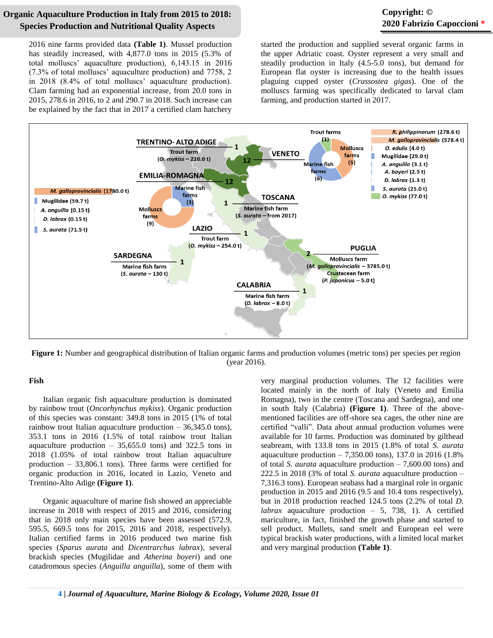# **Copyright: © 2020 Fabrizio Capoccioni \***

2016 nine farms provided data **(Table 1)**. Mussel production has steadily increased, with 4,877.0 tons in 2015 (5.3% of total molluscs' aquaculture production), 6,143.15 in 2016 (7.3% of total molluscs' aquaculture production) and 7758, 2 in 2018 (8.4% of total molluscs' aquaculture production). Clam farming had an exponential increase, from 20.0 tons in 2015, 278.6 in 2016, to 2 and 290.7 in 2018. Such increase can be explained by the fact that in 2017 a certified clam hatchery started the production and supplied several organic farms in the upper Adriatic coast. Oyster represent a very small and steadily production in Italy (4.5-5.0 tons), but demand for European flat oyster is increasing due to the health issues plaguing cupped oyster (*Crassostea gigas*). One of the molluscs farming was specifically dedicated to larval clam farming, and production started in 2017.



**Figure 1:** Number and geographical distribution of Italian organic farms and production volumes (metric tons) per species per region (year 2016).

#### **Fish**

 Italian organic fish aquaculture production is dominated by rainbow trout (*Oncorhynchus mykiss*). Organic production of this species was constant: 349.8 tons in 2015 (1% of total rainbow trout Italian aquaculture production – 36,345.0 tons), 353.1 tons in 2016 (1.5% of total rainbow trout Italian aquaculture production  $-35,655.0$  tons) and 322.5 tons in 2018 (1.05% of total rainbow trout Italian aquaculture production – 33,806.1 tons). Three farms were certified for organic production in 2016, located in Lazio, Veneto and Trentino-Alto Adige **(Figure 1)**.

 Organic aquaculture of marine fish showed an appreciable increase in 2018 with respect of 2015 and 2016, considering that in 2018 only main species have been assessed (572.9, 595.5, 669.5 tons for 2015, 2016 and 2018, respectively). Italian certified farms in 2016 produced two marine fish species (*Sparus aurata* and *Dicentrarchus labrax*), several brackish species (Mugilidae and *Atherina boyeri*) and one catadromous species (*Anguilla anguilla*), some of them with very marginal production volumes. The 12 facilities were located mainly in the north of Italy (Veneto and Emilia Romagna), two in the centre (Toscana and Sardegna), and one in south Italy (Calabria) **(Figure 1)**. Three of the abovementioned facilities are off-shore sea cages, the other nine are certified "valli". Data about annual production volumes were available for 10 farms. Production was dominated by gilthead seabream, with 133.8 tons in 2015 (1.8% of total *S. aurata* aquaculture production – 7,350.00 tons), 137.0 in 2016 (1.8% of total *S. aurata* aquaculture production – 7,600.00 tons) and 222.5 in 2018 (3% of total *S. aurata* aquaculture production – 7,316.3 tons). European seabass had a marginal role in organic production in 2015 and 2016 (9.5 and 10.4 tons respectively), but in 2018 production reached 124.5 tons (2.2% of total *D. labrax* aquaculture production – 5, 738, 1). A certified mariculture, in fact, finished the growth phase and started to sell product. Mullets, sand smelt and European eel were typical brackish water productions, with a limited local market and very marginal production **(Table 1)**.

**4 |** *Journal of Aquaculture, Marine Biology & Ecology, Volume 2020, Issue 01*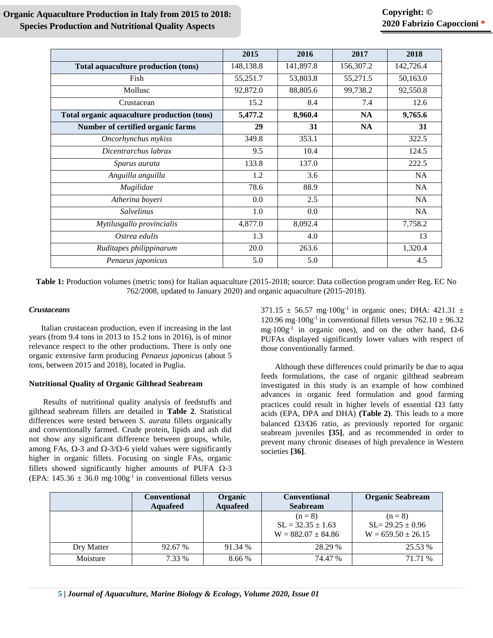|                                             | 2015      | 2016      | 2017      | 2018      |
|---------------------------------------------|-----------|-----------|-----------|-----------|
| Total aquaculture production (tons)         | 148,138.8 | 141,897.8 | 156,307.2 | 142,726.4 |
| Fish                                        | 55,251.7  | 53,803.8  | 55,271.5  | 50,163.0  |
| Mollusc                                     | 92,872.0  | 88,805.6  | 99,738.2  | 92,550.8  |
| Crustacean                                  | 15.2      | 8.4       | 7.4       | 12.6      |
| Total organic aquaculture production (tons) | 5,477.2   | 8,960.4   | <b>NA</b> | 9,765.6   |
| Number of certified organic farms           | 29        | 31        | NA        | 31        |
| Oncorhynchus mykiss                         | 349.8     | 353.1     |           | 322.5     |
| Dicentrarchus labrax                        | 9.5       | 10.4      |           | 124.5     |
| Sparus aurata                               | 133.8     | 137.0     |           | 222.5     |
| Anguilla anguilla                           | 1.2       | 3.6       |           | NA        |
| Mugilidae                                   | 78.6      | 88.9      |           | <b>NA</b> |
| Atherina boyeri                             | 0.0       | 2.5       |           | <b>NA</b> |
| <b>Salvelinus</b>                           | 1.0       | 0.0       |           | <b>NA</b> |
| Mytilusgallo provincialis                   | 4,877.0   | 8,092.4   |           | 7,758.2   |
| Ostrea edulis                               | 1.3       | 4.0       |           | 13        |
| Ruditapes philippinarum                     | 20.0      | 263.6     |           | 1,320.4   |
| Penaeus japonicus                           | 5.0       | 5.0       |           | 4.5       |

**Table 1:** Production volumes (metric tons) for Italian aquaculture (2015-2018; source: Data collection program under Reg. EC No 762/2008, updated to January 2020) and organic aquaculture (2015-2018).

### *Crustaceans*

 Italian crustacean production, even if increasing in the last years (from 9.4 tons in 2013 to 15.2 tons in 2016), is of minor relevance respect to the other productions. There is only one organic extensive farm producing *Penaeus japonicus* (about 5 tons, between 2015 and 2018), located in Puglia.

### **Nutritional Quality of Organic Gilthead Seabream**

 Results of nutritional quality analysis of feedstuffs and gilthead seabream fillets are detailed in **Table 2**. Statistical differences were tested between *S. aurata* fillets organically and conventionally farmed. Crude protein, lipids and ash did not show any significant difference between groups, while, among FAs,  $\Omega$ -3 and  $\Omega$ -3/ $\Omega$ -6 yield values were significantly higher in organic fillets. Focusing on single FAs, organic fillets showed significantly higher amounts of PUFA  $\Omega$ -3 (EPA:  $145.36 \pm 36.0$  mg· $100g^{-1}$  in conventional fillets versus 371.15  $\pm$  56.57 mg·100g<sup>-1</sup> in organic ones; DHA: 421.31  $\pm$ 120.96 mg·100g<sup>-1</sup> in conventional fillets versus  $762.10 \pm 96.32$ mg $\cdot 100g^{-1}$  in organic ones), and on the other hand,  $\Omega$ -6 PUFAs displayed significantly lower values with respect of those conventionally farmed.

 Although these differences could primarily be due to aqua feeds formulations, the case of organic gilthead seabream investigated in this study is an example of how combined advances in organic feed formulation and good farming practices could result in higher levels of essential  $\Omega$ 3 fatty acids (EPA, DPA and DHA) **(Table 2)**. This leads to a more balanced  $\Omega$ 3/ $\Omega$ 6 ratio, as previously reported for organic seabream juveniles **[35]**, and as recommended in order to prevent many chronic diseases of high prevalence in Western societies **[36]**.

|            | <b>Conventional</b><br><b>Aquafeed</b> | Organic<br><b>Aquafeed</b> | <b>Conventional</b><br><b>Seabream</b>                       | <b>Organic Seabream</b>                                    |
|------------|----------------------------------------|----------------------------|--------------------------------------------------------------|------------------------------------------------------------|
|            |                                        |                            | $(n = 8)$<br>$SL = 32.35 \pm 1.63$<br>$W = 882.07 \pm 84.86$ | $(n=8)$<br>$SL = 29.25 \pm 0.96$<br>$W = 659.50 \pm 26.15$ |
| Dry Matter | 92.67 %                                | 91.34 %                    | 28.29 %                                                      | 25.53 %                                                    |
| Moisture   | 7.33 %                                 | 8.66%                      | 74.47 %                                                      | 71.71 %                                                    |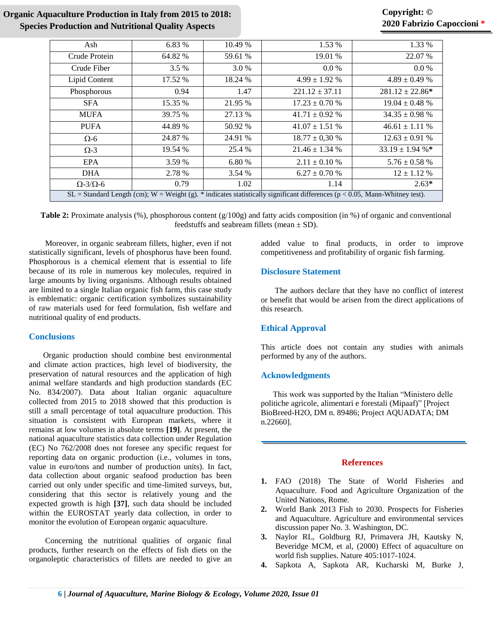# **Copyright: © 2020 Fabrizio Capoccioni \***

| Ash                                                                                                                           | 6.83 %  | 10.49 % | 1.53 %             | 1.33 %              |  |  |
|-------------------------------------------------------------------------------------------------------------------------------|---------|---------|--------------------|---------------------|--|--|
| Crude Protein                                                                                                                 | 64.82 % | 59.61 % | 19.01 %            | 22.07 %             |  |  |
| Crude Fiber                                                                                                                   | 3.5 %   | 3.0 %   | $0.0\%$            | $0.0\%$             |  |  |
| Lipid Content                                                                                                                 | 17.52 % | 18.24 % | $4.99 \pm 1.92$ %  | $4.89 \pm 0.49$ %   |  |  |
| Phosphorous                                                                                                                   | 0.94    | 1.47    | $221.12 \pm 37.11$ | $281.12 \pm 22.86*$ |  |  |
| <b>SFA</b>                                                                                                                    | 15.35 % | 21.95 % | $17.23 \pm 0.70$ % | $19.04 \pm 0.48$ %  |  |  |
| <b>MUFA</b>                                                                                                                   | 39.75 % | 27.13 % | $41.71 \pm 0.92$ % | $34.35 \pm 0.98$ %  |  |  |
| <b>PUFA</b>                                                                                                                   | 44.89 % | 50.92 % | $41.07 \pm 1.51$ % | $46.61 \pm 1.11$ %  |  |  |
| $\Omega$ -6                                                                                                                   | 24.87 % | 24.91 % | $18.77 \pm 0.30$ % | $12.63 \pm 0.91$ %  |  |  |
| $\Omega$ -3                                                                                                                   | 19.54 % | 25.4 %  | $21.46 \pm 1.34$ % | $33.19 \pm 1.94$ %* |  |  |
| EPA                                                                                                                           | 3.59 %  | 6.80 %  | $2.11 \pm 0.10 \%$ | $5.76 \pm 0.58$ %   |  |  |
| <b>DHA</b>                                                                                                                    | 2.78 %  | 3.54 %  | $6.27 \pm 0.70$ %  | $12 \pm 1.12$ %     |  |  |
| $\Omega$ -3/ $\Omega$ -6                                                                                                      | 0.79    | 1.02    | 1.14               | $2.63*$             |  |  |
| $SL =$ Standard Length (cm); W = Weight (g). * indicates statistically significant differences (p < 0.05, Mann-Whitney test). |         |         |                    |                     |  |  |

**Table 2:** Proximate analysis (%), phosphorous content (g/100g) and fatty acids composition (in %) of organic and conventional feedstuffs and seabream fillets (mean  $\pm$  SD).

 Moreover, in organic seabream fillets, higher, even if not statistically significant, levels of phosphorus have been found. Phosphorous is a chemical element that is essential to life because of its role in numerous key molecules, required in large amounts by living organisms. Although results obtained are limited to a single Italian organic fish farm, this case study is emblematic: organic certification symbolizes sustainability of raw materials used for feed formulation, fish welfare and nutritional quality of end products.

# **Conclusions**

 Organic production should combine best environmental and climate action practices, high level of biodiversity, the preservation of natural resources and the application of high animal welfare standards and high production standards (EC No. 834/2007). Data about Italian organic aquaculture collected from 2015 to 2018 showed that this production is still a small percentage of total aquaculture production. This situation is consistent with European markets, where it remains at low volumes in absolute terms **[19]**. At present, the national aquaculture statistics data collection under Regulation (EC) No 762/2008 does not foresee any specific request for reporting data on organic production (i.e., volumes in tons, value in euro/tons and number of production units). In fact, data collection about organic seafood production has been carried out only under specific and time-limited surveys, but, considering that this sector is relatively young and the expected growth is high **[37]**, such data should be included within the EUROSTAT yearly data collection, in order to monitor the evolution of European organic aquaculture.

 Concerning the nutritional qualities of organic final products, further research on the effects of fish diets on the organoleptic characteristics of fillets are needed to give an added value to final products, in order to improve competitiveness and profitability of organic fish farming.

### **Disclosure Statement**

 The authors declare that they have no conflict of interest or benefit that would be arisen from the direct applications of this research.

## **Ethical Approval**

This article does not contain any studies with animals performed by any of the authors.

## **Acknowledgments**

 This work was supported by the Italian "Ministero delle politiche agricole, alimentari e forestali (Mipaaf)" [Project BioBreed-H2O, DM n. 89486; Project AQUADATA; DM n.22660].

## **References**

- **1.** [FAO \(2018\) The State of World Fisheries and](http://www.fao.org/3/i9540en/i9540en.pdf)  [Aquaculture. Food and Agriculture Organization of the](http://www.fao.org/3/i9540en/i9540en.pdf)  [United Nations, Rome.](http://www.fao.org/3/i9540en/i9540en.pdf)
- **2.** [World Bank 2013 Fish to 2030. Prospects for Fisheries](https://openknowledge.worldbank.org/handle/10986/17579)  [and Aquaculture. Agriculture and environmental services](https://openknowledge.worldbank.org/handle/10986/17579)  [discussion paper No. 3. Washington, DC.](https://openknowledge.worldbank.org/handle/10986/17579)
- **3.** [Naylor RL, Goldburg RJ, Primavera JH, Kautsky N,](https://www.ncbi.nlm.nih.gov/pubmed/10890435)  [Beveridge MCM, et al, \(2000\) Effect of aquaculture on](https://www.ncbi.nlm.nih.gov/pubmed/10890435)  [world fish supplies. Nature 405:1017-1024.](https://www.ncbi.nlm.nih.gov/pubmed/10890435)
- **4.** [Sapkota A, Sapkota AR, Kucharski M, Burke J,](https://www.ncbi.nlm.nih.gov/pubmed/18565584)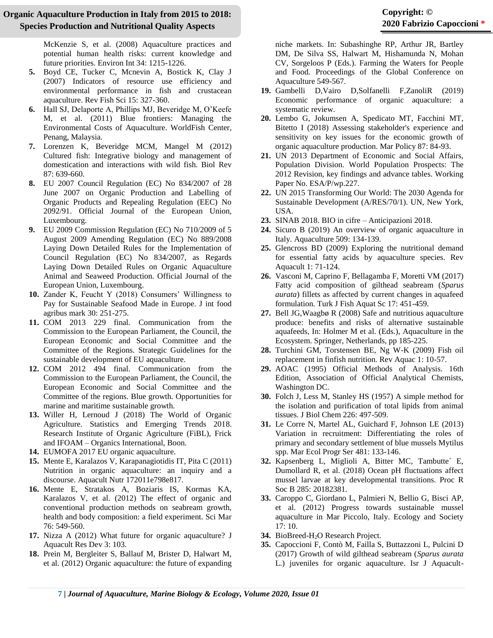[McKenzie S, et al. \(2008\) Aquaculture practices and](https://www.ncbi.nlm.nih.gov/pubmed/18565584)  [potential human health risks: current knowledge and](https://www.ncbi.nlm.nih.gov/pubmed/18565584)  [future priorities. Environ Int 34: 1215-1226.](https://www.ncbi.nlm.nih.gov/pubmed/18565584)

- **5.** [Boyd CE, Tucker C, Mcnevin A, Bostick K, Clay J](https://www.tandfonline.com/doi/abs/10.1080/10641260701624177)  [\(2007\) Indicators of resource use efficiency and](https://www.tandfonline.com/doi/abs/10.1080/10641260701624177)  [environmental performance in fish and crustacean](https://www.tandfonline.com/doi/abs/10.1080/10641260701624177)  [aquaculture. Rev Fish Sci 15: 327-360.](https://www.tandfonline.com/doi/abs/10.1080/10641260701624177)
- **6.** [Hall SJ, Delaporte A, Phillips MJ, Beveridge M, O'Keefe](https://www.researchgate.net/publication/227642849_Blue_Frontiers_Managing_the_Environmental_Costs_of_Aquaculture)  [M, et al. \(2011\) Blue frontiers: Managing the](https://www.researchgate.net/publication/227642849_Blue_Frontiers_Managing_the_Environmental_Costs_of_Aquaculture)  [Environmental Costs of Aquaculture. WorldFish](https://www.researchgate.net/publication/227642849_Blue_Frontiers_Managing_the_Environmental_Costs_of_Aquaculture) Center, [Penang, Malaysia.](https://www.researchgate.net/publication/227642849_Blue_Frontiers_Managing_the_Environmental_Costs_of_Aquaculture)
- **7.** [Lorenzen K, Beveridge MCM, Mangel M \(2012\)](https://www.ncbi.nlm.nih.gov/pubmed/22221879)  [Cultured fish: Integrative biology and management of](https://www.ncbi.nlm.nih.gov/pubmed/22221879)  [domestication and interactions with wild fish. Biol Rev](https://www.ncbi.nlm.nih.gov/pubmed/22221879)  [87: 639-660.](https://www.ncbi.nlm.nih.gov/pubmed/22221879)
- **8.** [EU 2007 Council Regulation \(EC\) No 834/2007 of 28](https://www.wipo.int/edocs/lexdocs/laws/en/eu/eu122en.pdf)  [June 2007 on Organic Production and Labelling of](https://www.wipo.int/edocs/lexdocs/laws/en/eu/eu122en.pdf)  [Organic Products and Repealing Regulation \(EEC\) No](https://www.wipo.int/edocs/lexdocs/laws/en/eu/eu122en.pdf)  [2092/91. Official Journal of the European Union,](https://www.wipo.int/edocs/lexdocs/laws/en/eu/eu122en.pdf)  [Luxembourg.](https://www.wipo.int/edocs/lexdocs/laws/en/eu/eu122en.pdf)
- **9.** [EU 2009 Commission Regulation \(EC\) No 710/2009 of 5](https://eur-lex.europa.eu/LexUriServ/LexUriServ.do?uri=OJ:L:2009:204:0015:0034:EN:PDF)  [August 2009 Amending Regulation \(EC\) No 889/2008](https://eur-lex.europa.eu/LexUriServ/LexUriServ.do?uri=OJ:L:2009:204:0015:0034:EN:PDF)  [Laying Down Detailed Rules for the Implementation of](https://eur-lex.europa.eu/LexUriServ/LexUriServ.do?uri=OJ:L:2009:204:0015:0034:EN:PDF)  [Council Regulation \(EC\) No 834/2007, as Regards](https://eur-lex.europa.eu/LexUriServ/LexUriServ.do?uri=OJ:L:2009:204:0015:0034:EN:PDF)  [Laying Down Detailed Rules on Organic Aquaculture](https://eur-lex.europa.eu/LexUriServ/LexUriServ.do?uri=OJ:L:2009:204:0015:0034:EN:PDF)  [Animal and Seaweed Production. Official Journal of the](https://eur-lex.europa.eu/LexUriServ/LexUriServ.do?uri=OJ:L:2009:204:0015:0034:EN:PDF)  [European Union, Luxembourg.](https://eur-lex.europa.eu/LexUriServ/LexUriServ.do?uri=OJ:L:2009:204:0015:0034:EN:PDF)
- **10.** [Zander K, Feucht Y \(2018\) Consumers' Willingness to](https://www.tandfonline.com/doi/full/10.1080/08974438.2017.1413611)  [Pay for Sustainable Seafood Made in Europe. J int food](https://www.tandfonline.com/doi/full/10.1080/08974438.2017.1413611)  [agribus mark 30: 251-275.](https://www.tandfonline.com/doi/full/10.1080/08974438.2017.1413611)
- **11.** [COM 2013 229 final. Communication from the](https://www.eea.europa.eu/policy-documents/com-2013-229-final)  [Commission to the European Parliament, the Council, the](https://www.eea.europa.eu/policy-documents/com-2013-229-final)  [European Economic and Social Committee and the](https://www.eea.europa.eu/policy-documents/com-2013-229-final)  [Committee of the Regions. Strategic Guidelines for the](https://www.eea.europa.eu/policy-documents/com-2013-229-final)  [sustainable development of EU aquaculture.](https://www.eea.europa.eu/policy-documents/com-2013-229-final)
- **12.** [COM 2012 494 final. Communication from the](https://ec.europa.eu/maritimeaffairs/sites/maritimeaffairs/files/docs/body/com_2012_494_en.pdf)  [Commission to the European Parliament, the Council, the](https://ec.europa.eu/maritimeaffairs/sites/maritimeaffairs/files/docs/body/com_2012_494_en.pdf)  [European Economic and Social Committee and the](https://ec.europa.eu/maritimeaffairs/sites/maritimeaffairs/files/docs/body/com_2012_494_en.pdf)  [Committee of the regions. Blue growth. Opportunities for](https://ec.europa.eu/maritimeaffairs/sites/maritimeaffairs/files/docs/body/com_2012_494_en.pdf)  [marine and maritime sustainable growth.](https://ec.europa.eu/maritimeaffairs/sites/maritimeaffairs/files/docs/body/com_2012_494_en.pdf)
- **13.** [Willer H, Lernoud J \(2018\) The World of Organic](https://shop.fibl.org/CHen/mwdownloads/download/link/id/1202/?ref=1)  [Agriculture. Statistics and Emerging Trends 2018.](https://shop.fibl.org/CHen/mwdownloads/download/link/id/1202/?ref=1)  [Research Institute of Organic Agriculture \(FiBL\), Frick](https://shop.fibl.org/CHen/mwdownloads/download/link/id/1202/?ref=1)  and IFOAM – [Organics International, Boon.](https://shop.fibl.org/CHen/mwdownloads/download/link/id/1202/?ref=1)
- **14.** [EUMOFA 2017 EU organic aquaculture.](https://www.eumofa.eu/documents/20178/84590/Study+report_organic+aquaculture.pdf)
- **15.** [Mente E, Karalazos V, Karapanagiotidis IT, Pita C \(2011\)](https://onlinelibrary.wiley.com/doi/abs/10.1111/j.1365-2095.2010.00846.x)  [Nutrition in organic aquaculture: an inquiry and a](https://onlinelibrary.wiley.com/doi/abs/10.1111/j.1365-2095.2010.00846.x)  [discourse. Aquacult Nutr 172011e798e817.](https://onlinelibrary.wiley.com/doi/abs/10.1111/j.1365-2095.2010.00846.x)
- **16.** [Mente E, Stratakos A, Boziaris IS, Kormas KA,](https://www.researchgate.net/publication/259646328_The_effect_of_organic_and_conventional_production_methods_on_sea_bream_growth_health_and_body_composition_A_field_experiment)  [Karalazos V, et al. \(2012\) The effect of organic and](https://www.researchgate.net/publication/259646328_The_effect_of_organic_and_conventional_production_methods_on_sea_bream_growth_health_and_body_composition_A_field_experiment)  [conventional production methods on seabream growth,](https://www.researchgate.net/publication/259646328_The_effect_of_organic_and_conventional_production_methods_on_sea_bream_growth_health_and_body_composition_A_field_experiment)  [health and body composition: a field experiment. Sci Mar](https://www.researchgate.net/publication/259646328_The_effect_of_organic_and_conventional_production_methods_on_sea_bream_growth_health_and_body_composition_A_field_experiment)  [76: 549-560.](https://www.researchgate.net/publication/259646328_The_effect_of_organic_and_conventional_production_methods_on_sea_bream_growth_health_and_body_composition_A_field_experiment)
- **17.** [Nizza A \(2012\) What future](https://www.longdom.org/open-access/what-future-for-organic-aquaculture-2155-9546.1000e103.pdf) for organic aquaculture? J [Aquacult Res Dev 3: 103.](https://www.longdom.org/open-access/what-future-for-organic-aquaculture-2155-9546.1000e103.pdf)
- **18.** [Prein M, Bergleiter S, Ballauf M, Brister D, Halwart M,](http://www.fao.org/tempref/FI/DOCUMENT/aquaculture/aq2010_11/root/global_conference/proceeding_global_conference.pdf)  [et al. \(2012\) Organic aquaculture: the future of expanding](http://www.fao.org/tempref/FI/DOCUMENT/aquaculture/aq2010_11/root/global_conference/proceeding_global_conference.pdf)

[niche markets. In: Subashinghe RP, Arthur JR, Bartley](http://www.fao.org/tempref/FI/DOCUMENT/aquaculture/aq2010_11/root/global_conference/proceeding_global_conference.pdf)  [DM, De Silva SS, Halwart M, Hishamunda N, Mohan](http://www.fao.org/tempref/FI/DOCUMENT/aquaculture/aq2010_11/root/global_conference/proceeding_global_conference.pdf)  [CV, Sorgeloos P \(Eds.\). Farming the Waters for People](http://www.fao.org/tempref/FI/DOCUMENT/aquaculture/aq2010_11/root/global_conference/proceeding_global_conference.pdf)  [and Food. Proceedings of the Global Conference on](http://www.fao.org/tempref/FI/DOCUMENT/aquaculture/aq2010_11/root/global_conference/proceeding_global_conference.pdf)  [Aquaculture 549-567.](http://www.fao.org/tempref/FI/DOCUMENT/aquaculture/aq2010_11/root/global_conference/proceeding_global_conference.pdf)

- **19.** [Gambelli D,Vairo D,Solfanelli F,ZanoliR \(2019\)](https://www.researchgate.net/publication/333512141_Economic_performance_of_organic_aquaculture_A_systematic_review)  [Economic performance of organic aquaculture: a](https://www.researchgate.net/publication/333512141_Economic_performance_of_organic_aquaculture_A_systematic_review)  [systematic review.](https://www.researchgate.net/publication/333512141_Economic_performance_of_organic_aquaculture_A_systematic_review)
- **20.** [Lembo G, Jokumsen A, Spedicato MT, Facchini MT,](https://www.sciencedirect.com/science/article/pii/S0308597X17304116)  [Bitetto I \(2018\) Assessing stakeholder's experience and](https://www.sciencedirect.com/science/article/pii/S0308597X17304116)  [sensitivity on key issues for the economic growth of](https://www.sciencedirect.com/science/article/pii/S0308597X17304116)  [organic aquaculture production. Mar Policy 87: 84-93.](https://www.sciencedirect.com/science/article/pii/S0308597X17304116)
- **21.** [UN 2013 Department of Economic and Social Affairs,](https://population.un.org/wpp/Publications/Files/WPP2012_HIGHLIGHTS.pdf)  [Population Division. World Population Prospects: The](https://population.un.org/wpp/Publications/Files/WPP2012_HIGHLIGHTS.pdf)  [2012 Revision, key findings and advance tables. Working](https://population.un.org/wpp/Publications/Files/WPP2012_HIGHLIGHTS.pdf)  [Paper No. ESA/P/wp.227.](https://population.un.org/wpp/Publications/Files/WPP2012_HIGHLIGHTS.pdf)
- **22.** [UN 2015 Transforming Our World: The 2030 Agenda for](https://www.un.org/en/development/desa/population/migration/generalassembly/docs/globalcompact/A_RES_70_1_E.pdf)  [Sustainable Development \(A/RES/70/1\). UN, New York,](https://www.un.org/en/development/desa/population/migration/generalassembly/docs/globalcompact/A_RES_70_1_E.pdf)  [USA.](https://www.un.org/en/development/desa/population/migration/generalassembly/docs/globalcompact/A_RES_70_1_E.pdf)
- **23.** [SINAB 2018. BIO in cifre –](http://www.sinab.it/sites/default/files/share/Bio%20in%20cifre%202018%20_%20Anticipazioni_1.pdf) Anticipazioni 2018.
- **24.** [Sicuro B \(2019\) An overview of organic aquaculture in](https://www.researchgate.net/publication/333053071_An_overview_of_organic_aquaculture_in_Italy)  [Italy. Aquaculture 509: 134-139.](https://www.researchgate.net/publication/333053071_An_overview_of_organic_aquaculture_in_Italy)
- **25.** [Glencross BD \(2009\) Exploring the nutritional demand](https://onlinelibrary.wiley.com/doi/10.1111/j.1753-5131.2009.01006.x)  [for essential fatty acids by aquaculture species. Rev](https://onlinelibrary.wiley.com/doi/10.1111/j.1753-5131.2009.01006.x)  [Aquacult 1: 71-124.](https://onlinelibrary.wiley.com/doi/10.1111/j.1753-5131.2009.01006.x)
- **26.** [Vasconi M, Caprino F, Bellagamba F, Moretti VM \(2017\)](https://www.researchgate.net/publication/316285579_Fatty_Acid_Composition_of_Gilthead_Sea_Bream_Sparus_aurata_Fillets_as_Affected_by_Current_Changes_in_Aquafeed_Formulation)  [Fatty acid composition of gilthead seabream \(](https://www.researchgate.net/publication/316285579_Fatty_Acid_Composition_of_Gilthead_Sea_Bream_Sparus_aurata_Fillets_as_Affected_by_Current_Changes_in_Aquafeed_Formulation)*Sparus aurata*[\) fillets as affected by current changes in aquafeed](https://www.researchgate.net/publication/316285579_Fatty_Acid_Composition_of_Gilthead_Sea_Bream_Sparus_aurata_Fillets_as_Affected_by_Current_Changes_in_Aquafeed_Formulation)  [formulation. Turk J Fish Aquat Sc 17: 451-459.](https://www.researchgate.net/publication/316285579_Fatty_Acid_Composition_of_Gilthead_Sea_Bream_Sparus_aurata_Fillets_as_Affected_by_Current_Changes_in_Aquafeed_Formulation)
- **27.** [Bell JG,Waagbø R \(2008\) Safe and nutritious aquaculture](https://www.springer.com/gp/book/9781402068096)  [produce: benefits and risks of alternative sustainable](https://www.springer.com/gp/book/9781402068096)  [aquafeeds, In: Holmer M et al. \(Eds.\), Aquaculture in the](https://www.springer.com/gp/book/9781402068096)  [Ecosystem. Springer, Netherlands, pp 185-225.](https://www.springer.com/gp/book/9781402068096)
- **28.** [Turchini GM, Torstensen BE, Ng W-K \(2009\) Fish oil](https://onlinelibrary.wiley.com/doi/abs/10.1111/j.1753-5131.2008.01001.x)  [replacement in finfish nutrition. Rev Aquac 1: 10-57.](https://onlinelibrary.wiley.com/doi/abs/10.1111/j.1753-5131.2008.01001.x)
- **29.** [AOAC \(1995\) Official Methods of Analysis. 16th](https://analyticalanswersinc.com/?gclid=EAIaIQobChMIlpXgq8bp5wIVTQwrCh0-Pw9LEAAYASAAEgIEJfD_BwE)  [Edition, Association of Official Analytical Chemists,](https://analyticalanswersinc.com/?gclid=EAIaIQobChMIlpXgq8bp5wIVTQwrCh0-Pw9LEAAYASAAEgIEJfD_BwE)  [Washington DC.](https://analyticalanswersinc.com/?gclid=EAIaIQobChMIlpXgq8bp5wIVTQwrCh0-Pw9LEAAYASAAEgIEJfD_BwE)
- **30.** Folch J, [Less M, Stanley HS \(1957\) A simple method for](https://www.ncbi.nlm.nih.gov/pubmed/13428781)  [the isolation and purification of total lipids from animal](https://www.ncbi.nlm.nih.gov/pubmed/13428781)  [tissues. J Biol Chem 226: 497-509.](https://www.ncbi.nlm.nih.gov/pubmed/13428781)
- **31.** [Le Corre N, Martel AL, Guichard F, Johnson LE \(2013\)](https://www.researchgate.net/publication/273992129_Variation_in_recruitment_Differentiating_the_roles_of_primary_and_secondary_settlement_of_blue_mussels_Mytilus_spp)  [Variation in recruitment: Differentiating the roles of](https://www.researchgate.net/publication/273992129_Variation_in_recruitment_Differentiating_the_roles_of_primary_and_secondary_settlement_of_blue_mussels_Mytilus_spp)  [primary and secondary settlement of blue mussels Mytilus](https://www.researchgate.net/publication/273992129_Variation_in_recruitment_Differentiating_the_roles_of_primary_and_secondary_settlement_of_blue_mussels_Mytilus_spp)  [spp. Mar Ecol Progr Ser 481: 133-146.](https://www.researchgate.net/publication/273992129_Variation_in_recruitment_Differentiating_the_roles_of_primary_and_secondary_settlement_of_blue_mussels_Mytilus_spp)
- **32.** [Kapsenberg L, Miglioli A, Bitter MC, Tambutte´ E,](https://www.ncbi.nlm.nih.gov/pubmed/30963891)  [Dumollard R, et al. \(2018\) Ocean pH fluctuations affect](https://www.ncbi.nlm.nih.gov/pubmed/30963891)  [mussel larvae at key developmental transitions. Proc R](https://www.ncbi.nlm.nih.gov/pubmed/30963891)  Soc [B 285: 20182381.](https://www.ncbi.nlm.nih.gov/pubmed/30963891)
- **33.** [Caroppo C, Giordano L, Palmieri N, Bellio G, Bisci AP,](https://www.ecologyandsociety.org/vol17/iss3/art10/)  [et al. \(2012\) Progress towards sustainable mussel](https://www.ecologyandsociety.org/vol17/iss3/art10/)  [aquaculture in Mar Piccolo, Italy. Ecology and Society](https://www.ecologyandsociety.org/vol17/iss3/art10/)  [17: 10.](https://www.ecologyandsociety.org/vol17/iss3/art10/)
- **34.** BioBreed-H2[O Research Project.](http://www.acquacolturabio.eu/BioBreed/HOME.html)
- **35.** Capoccioni [F, Contò M, Failla S, Buttazzoni L, Pulcini D](https://www.researchgate.net/publication/313398558_Growth_of_wild_gilthead_seabream_Sparus_aurata_L_Juveniles_for_organic_aquaculture)  [\(2017\) Growth of wild gilthead seabream \(](https://www.researchgate.net/publication/313398558_Growth_of_wild_gilthead_seabream_Sparus_aurata_L_Juveniles_for_organic_aquaculture)*Sparus aurata* [L.\) juveniles for organic aquaculture. Isr J Aquacult-](https://www.researchgate.net/publication/313398558_Growth_of_wild_gilthead_seabream_Sparus_aurata_L_Juveniles_for_organic_aquaculture)